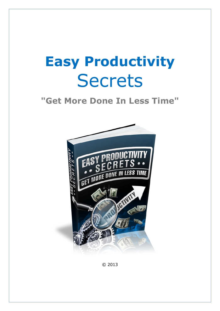# **Easy Productivity Secrets**

## **"Get More Done In Less Time"**



© 2013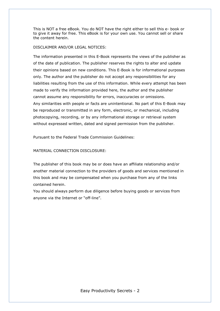This is NOT a free eBook. You do NOT have the right either to sell this e- book or to give it away for free. This eBook is for your own use. You cannot sell or share the content herein.

#### DISCLAIMER AND/OR LEGAL NOTICES:

The information presented in this E-Book represents the views of the publisher as of the date of publication. The publisher reserves the rights to alter and update their opinions based on new conditions. This E-Book is for informational purposes only. The author and the publisher do not accept any responsibilities for any liabilities resulting from the use of this information. While every attempt has been made to verify the information provided here, the author and the publisher cannot assume any responsibility for errors, inaccuracies or omissions. Any similarities with people or facts are unintentional. No part of this E-Book may be reproduced or transmitted in any form, electronic, or mechanical, including photocopying, recording, or by any informational storage or retrieval system without expressed written, dated and signed permission from the publisher.

Pursuant to the Federal Trade Commission Guidelines:

#### MATERIAL CONNECTION DISCLOSURE:

The publisher of this book may be or does have an affiliate relationship and/or another material connection to the providers of goods and services mentioned in this book and may be compensated when you purchase from any of the links contained herein.

You should always perform due diligence before buying goods or services from anyone via the Internet or "off-line".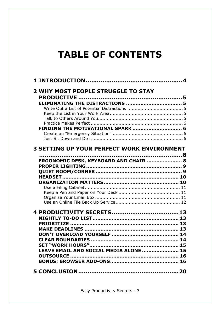## **TABLE OF CONTENTS**

| <b>2 WHY MOST PEOPLE STRUGGLE TO STAY</b>         | 5 |
|---------------------------------------------------|---|
|                                                   |   |
| FINDING THE MOTIVATIONAL SPARK  6                 |   |
| <b>3 SETTING UP YOUR PERFECT WORK ENVIRONMENT</b> |   |
|                                                   |   |
| ERGONOMIC DESK, KEYBOARD AND CHAIR  8             |   |
|                                                   |   |
|                                                   |   |
|                                                   |   |
|                                                   |   |
|                                                   |   |
|                                                   |   |
|                                                   |   |
|                                                   |   |
|                                                   |   |
|                                                   |   |
|                                                   |   |
|                                                   |   |
| LEAVE EMAIL AND SOCIAL MEDIA ALONE  15            |   |
|                                                   |   |
|                                                   |   |
|                                                   |   |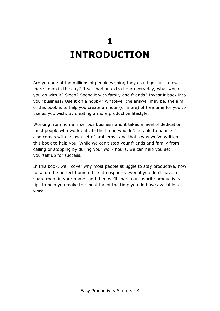## **1 INTRODUCTION**

Are you one of the millions of people wishing they could get just a few more hours in the day? If you had an extra hour every day, what would you do with it? Sleep? Spend it with family and friends? Invest it back into your business? Use it on a hobby? Whatever the answer may be, the aim of this book is to help you create an hour (or more) of free time for you to use as you wish, by creating a more productive lifestyle.

Working from home is serious business and it takes a level of dedication most people who work outside the home wouldn't be able to handle. It also comes with its own set of problems—and that's why we've written this book to help you. While we can't stop your friends and family from calling or stopping by during your work hours, we can help you set yourself up for success.

In this book, we'll cover why most people struggle to stay productive, how to setup the perfect home office atmosphere, even if you don't have a spare room in your home; and then we'll share our favorite productivity tips to help you make the most the of the time you do have available to work.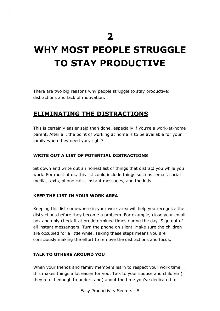**2** 

## **WHY MOST PEOPLE STRUGGLE TO STAY PRODUCTIVE**

There are two big reasons why people struggle to stay productive: distractions and lack of motivation.

## **ELIMINATING THE DISTRACTIONS**

This is certainly easier said than done, especially if you're a work-at-home parent. After all, the point of working at home is to be available for your family when they need you, right?

#### **WRITE OUT A LIST OF POTENTIAL DISTRACTIONS**

Sit down and write out an honest list of things that distract you while you work. For most of us, this list could include things such as: email, social media, texts, phone calls, instant messages, and the kids.

#### **KEEP THE LIST IN YOUR WORK AREA**

Keeping this list somewhere in your work area will help you recognize the distractions before they become a problem. For example, close your email box and only check it at predetermined times during the day. Sign out of all instant messengers. Turn the phone on silent. Make sure the children are occupied for a little while. Taking these steps means you are consciously making the effort to remove the distractions and focus.

#### **TALK TO OTHERS AROUND YOU**

When your friends and family members learn to respect your work time, this makes things a lot easier for you. Talk to your spouse and children (if they're old enough to understand) about the time you've dedicated to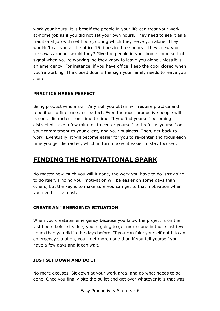work your hours. It is best if the people in your life can treat your workat-home job as if you did not set your own hours. They need to see it as a traditional job with set hours, during which they leave you alone. They wouldn't call you at the office 15 times in three hours if they knew your boss was around, would they? Give the people in your home some sort of signal when you're working, so they know to leave you alone unless it is an emergency. For instance, if you have office, keep the door closed when you're working. The closed door is the sign your family needs to leave you alone.

#### **PRACTICE MAKES PERFECT**

Being productive is a skill. Any skill you obtain will require practice and repetition to fine tune and perfect. Even the most productive people will become distracted from time to time. If you find yourself becoming distracted, take a few minutes to center yourself and refocus yourself on your commitment to your client, and your business. Then, get back to work. Eventually, it will become easier for you to re-center and focus each time you get distracted, which in turn makes it easier to stay focused.

## **FINDING THE MOTIVATIONAL SPARK**

No matter how much you will it done, the work you have to do isn't going to do itself. Finding your motivation will be easier on some days than others, but the key is to make sure you can get to that motivation when you need it the most.

#### **CREATE AN "EMERGENCY SITUATION"**

When you create an emergency because you know the project is on the last hours before its due, you're going to get more done in those last few hours than you did in the days before. If you can fake yourself out into an emergency situation, you'll get more done than if you tell yourself you have a few days and it can wait.

#### **JUST SIT DOWN AND DO IT**

No more excuses. Sit down at your work area, and do what needs to be done. Once you finally bite the bullet and get over whatever it is that was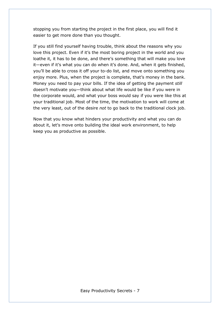stopping you from starting the project in the first place, you will find it easier to get more done than you thought.

If you still find yourself having trouble, think about the reasons why you love this project. Even if it's the most boring project in the world and you loathe it, it has to be done, and there's something that will make you love it—even if it's what you can do when it's done. And, when it gets finished, you'll be able to cross it off your to-do list, and move onto something you enjoy more. Plus, when the project is complete, that's money in the bank. Money you need to pay your bills. If the idea of getting the payment *still*  doesn't motivate you—think about what life would be like if you were in the corporate would, and what your boss would say if you were like this at your traditional job. Most of the time, the motivation to work will come at the very least, out of the desire *not* to go back to the traditional clock job.

Now that you know what hinders your productivity and what you can do about it, let's move onto building the ideal work environment, to help keep you as productive as possible.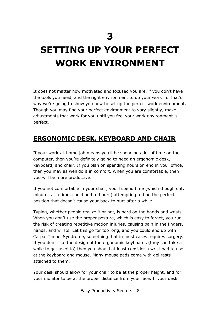**3** 

## **SETTING UP YOUR PERFECT WORK ENVIRONMENT**

It does not matter how motivated and focused you are, if you don't have the tools you need, and the right environment to do your work in. That's why we're going to show you how to set up the perfect work environment. Though you may find your perfect environment to vary slightly, make adjustments that work for you until you feel your work environment is perfect.

## **ERGONOMIC DESK, KEYBOARD AND CHAIR**

If your work-at-home job means you'll be spending a lot of time on the computer, then you're definitely going to need an ergonomic desk, keyboard, and chair. If you plan on spending hours on end in your office, then you may as well do it in comfort. When you are comfortable, then you will be more productive.

If you not comfortable in your chair, you'll spend time (which though only minutes at a time, could add to hours) attempting to find the perfect position that doesn't cause your back to hurt after a while.

Typing, whether people realize it or not, is hard on the hands and wrists. When you don't use the proper posture, which is easy to forget, you run the risk of creating repetitive motion injuries, causing pain in the fingers, hands, and wrists. Let this go for too long, and you could end up with Carpal Tunnel Syndrome, something that in most cases requires surgery. If you don't like the design of the ergonomic keyboards (they can take a while to get used to) then you should at least consider a wrist pad to use at the keyboard and mouse. Many mouse pads come with gel rests attached to them.

Your desk should allow for your chair to be at the proper height, and for your monitor to be at the proper distance from your face. If your desk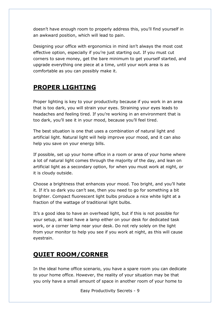doesn't have enough room to properly address this, you'll find yourself in an awkward position, which will lead to pain.

Designing your office with ergonomics in mind isn't always the most cost effective option, especially if you're just starting out. If you must cut corners to save money, get the bare minimum to get yourself started, and upgrade everything one piece at a time, until your work area is as comfortable as you can possibly make it.

## **PROPER LIGHTING**

Proper lighting is key to your productivity because if you work in an area that is too dark, you will strain your eyes. Straining your eyes leads to headaches and feeling tired. If you're working in an environment that is too dark, you'll see it in your mood, because you'll feel tired.

The best situation is one that uses a combination of natural light and artificial light. Natural light will help improve your mood, and it can also help you save on your energy bills.

If possible, set up your home office in a room or area of your home where a lot of natural light comes through the majority of the day, and lean on artificial light as a secondary option, for when you must work at night, or it is cloudy outside.

Choose a brightness that enhances your mood. Too bright, and you'll hate it. If it's so dark you can't see, then you need to go for something a bit brighter. Compact fluorescent light bulbs produce a nice white light at a fraction of the wattage of traditional light bulbs.

It's a good idea to have an overhead light, but if this is not possible for your setup, at least have a lamp either on your desk for dedicated task work, or a corner lamp near your desk. Do not rely solely on the light from your monitor to help you see if you work at night, as this will cause eyestrain.

## **QUIET ROOM/CORNER**

In the ideal home office scenario, you have a spare room you can dedicate to your home office. However, the reality of your situation may be that you only have a small amount of space in another room of your home to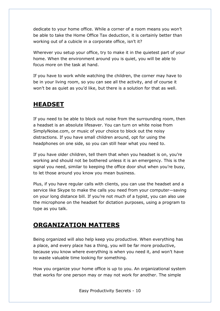dedicate to your home office. While a corner of a room means you won't be able to take the Home Office Tax deduction, it is certainly better than working out of a cubicle in a corporate office, isn't it?

Wherever you setup your office, try to make it in the quietest part of your home. When the environment around you is quiet, you will be able to focus more on the task at hand.

If you have to work while watching the children, the corner may have to be in your living room, so you can see all the activity, and of course it won't be as quiet as you'd like, but there is a solution for that as well.

### **HEADSET**

If you need to be able to block out noise from the surrounding room, then a headset is an absolute lifesaver. You can turn on white noise from SimplyNoise.com, or music of your choice to block out the noisy distractions. If you have small children around, opt for using the headphones on one side, so you can still hear what you need to.

If you have older children, tell them that when you headset is on, you're working and should not be bothered unless it is an emergency. This is the signal you need, similar to keeping the office door shut when you're busy, to let those around you know you mean business.

Plus, if you have regular calls with clients, you can use the headset and a service like Skype to make the calls you need from your computer—saving on your long distance bill. If you're not much of a typist, you can also use the microphone on the headset for dictation purposes, using a program to type as you talk.

## **ORGANIZATION MATTERS**

Being organized will also help keep you productive. When everything has a place, and every place has a thing, you will be far more productive, because you know where everything is when you need it, and won't have to waste valuable time looking for something.

How you organize your home office is up to you. An organizational system that works for one person may or may not work for another. The simple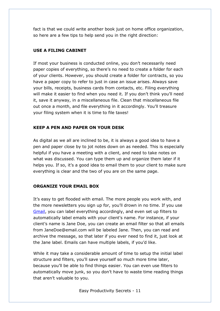fact is that we could write another book just on home office organization, so here are a few tips to help send you in the right direction:

#### **USE A FILING CABINET**

If most your business is conducted online, you don't necessarily need paper copies of everything, so there's no need to create a folder for each of your clients. However, you should create a folder for contracts, so you have a paper copy to refer to just in case an issue arises. Always save your bills, receipts, business cards from contacts, etc. Filing everything will make it easier to find when you need it. If you don't think you'll need it, save it anyway, in a miscellaneous file. Clean that miscellaneous file out once a month, and file everything in it accordingly. You'll treasure your filing system when it is time to file taxes!

#### **KEEP A PEN AND PAPER ON YOUR DESK**

As digital as we all are inclined to be, it is always a good idea to have a pen and paper close by to jot notes down on as needed. This is especially helpful if you have a meeting with a client, and need to take notes on what was discussed. You can type them up and organize them later if it helps you. If so, it's a good idea to email them to your client to make sure everything is clear and the two of you are on the same page.

#### **ORGANIZE YOUR EMAIL BOX**

It's easy to get flooded with email. The more people you work with, and the more newsletters you sign up for, you'll drown in no time. If you use Gmail, you can label everything accordingly, and even set up filters to automatically label emails with your client's name. For instance, if your client's name is Jane Doe, you can create an email filter so that all emails from JaneDoe@email.com will be labeled Jane. Then, you can read and archive the message, so that later if you ever need to find it, just look at the Jane label. Emails can have multiple labels, if you'd like.

While it may take a considerable amount of time to setup the initial label structure and filters, you'll save yourself so much more time later, because you'll be able to find things easier. You can even use filters to automatically move junk, so you don't have to waste time reading things that aren't valuable to you.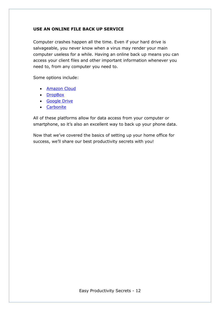#### **USE AN ONLINE FILE BACK UP SERVICE**

Computer crashes happen all the time. Even if your hard drive is salvageable, you never know when a virus may render your main computer useless for a while. Having an online back up means you can access your client files and other important information whenever you need to, from any computer you need to.

Some options include:

- Amazon Cloud
- DropBox
- Google Drive
- Carbonite

All of these platforms allow for data access from your computer or smartphone, so it's also an excellent way to back up your phone data.

Now that we've covered the basics of setting up your home office for success, we'll share our best productivity secrets with you!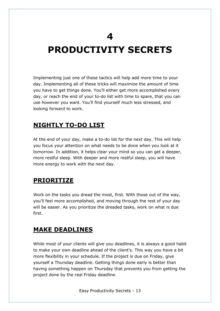**4** 

## **PRODUCTIVITY SECRETS**

Implementing just one of these tactics will help add more time to your day. Implementing all of these tricks will maximize the amount of time you have to get things done. You'll either get more accomplished every day, or reach the end of your to-do list with time to spare, that you can use however you want. You'll find yourself much less stressed, and looking forward to work.

## **NIGHTLY TO-DO LIST**

At the end of your day, make a to-do list for the next day. This will help you focus your attention on what needs to be done when you look at it tomorrow. In addition, it helps clear your mind so you can get a deeper, more restful sleep. With deeper and more restful sleep, you will have more energy to work with the next day.

### **PRIORITIZE**

Work on the tasks you dread the most, first. With those out of the way, you'll feel more accomplished, and moving through the rest of your day will be easier. As you prioritize the dreaded tasks, work on what is due first.

### **MAKE DEADLINES**

While most of your clients will give you deadlines, it is always a good habit to make your own deadline ahead of the client's. This way you have a bit more flexibility in your schedule. If the project is due on Friday, give yourself a Thursday deadline. Getting things done early is better than having something happen on Thursday that prevents you from getting the project done by the real Friday deadline.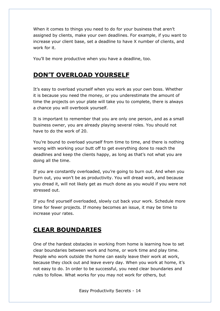When it comes to things you need to do for your business that aren't assigned by clients, make your own deadlines. For example, if you want to increase your client base, set a deadline to have X number of clients, and work for it.

You'll be more productive when you have a deadline, too.

## **DON'T OVERLOAD YOURSELF**

It's easy to overload yourself when you work as your own boss. Whether it is because you need the money, or you underestimate the amount of time the projects on your plate will take you to complete, there is always a chance you will overbook yourself.

It is important to remember that you are only one person, and as a small business owner, you are already playing several roles. You should not have to do the work of 20.

You're bound to overload yourself from time to time, and there is nothing wrong with working your butt off to get everything done to reach the deadlines and keep the clients happy, as long as that's not what you are doing all the time.

If you are constantly overloaded, you're going to burn out. And when you burn out, you won't be as productivity. You will dread work, and because you dread it, will not likely get as much done as you would if you were not stressed out.

If you find yourself overloaded, slowly cut back your work. Schedule more time for fewer projects. If money becomes an issue, it may be time to increase your rates.

## **CLEAR BOUNDARIES**

One of the hardest obstacles in working from home is learning how to set clear boundaries between work and home, or work time and play time. People who work outside the home can easily leave their work at work, because they clock out and leave every day. When you work at home, it's not easy to do. In order to be successful, you need clear boundaries and rules to follow. What works for you may not work for others, but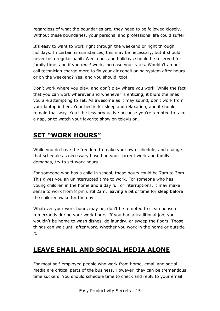regardless of what the boundaries are, they need to be followed closely. Without these boundaries, your personal and professional life could suffer.

It's easy to want to work right through the weekend or right through holidays. In certain circumstances, this may be necessary, but it should never be a regular habit. Weekends and holidays should be reserved for family time, and if you *must* work, increase your rates. Wouldn't an oncall technician charge more to fix your air conditioning system after hours or on the weekend? Yes, and you should, too!

Don't work where you play, and don't play where you work. While the fact that you can work wherever and whenever is enticing, it blurs the lines you are attempting to set. As awesome as it may sound, don't work from your laptop in bed. Your bed is for sleep and relaxation, and it should remain that way. You'll be less productive because you're tempted to take a nap, or to watch your favorite show on television.

## **SET "WORK HOURS"**

While you do have the freedom to make your own schedule, and change that schedule as necessary based on your current work and family demands, try to set work hours.

For someone who has a child in school, these hours could be 7am to 3pm. This gives you an uninterrupted time to work. For someone who has young children in the home and a day full of interruptions, it may make sense to work from 8 pm until 2am, leaving a bit of time for sleep before the children wake for the day.

Whatever your work hours may be, don't be tempted to clean house or run errands during your work hours. If you had a traditional job, you wouldn't be home to wash dishes, do laundry, or sweep the floors. Those things can wait until after work, whether you work in the home or outside it.

## **LEAVE EMAIL AND SOCIAL MEDIA ALONE**

For most self-employed people who work from home, email and social media are critical parts of the business. However, they can be tremendous time suckers. You should schedule time to check and reply to your email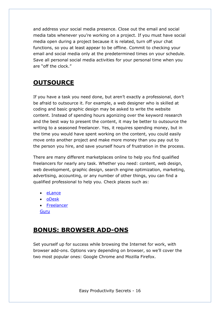and address your social media presence. Close out the email and social media tabs whenever you're working on a project. If you must have social media open during a project because it is related, turn off your chat functions, so you at least appear to be offline. Commit to checking your email and social media only at the predetermined times on your schedule. Save all personal social media activities for your personal time when you are "off the clock."

## **OUTSOURCE**

If you have a task you need done, but aren't exactly a professional, don't be afraid to outsource it. For example, a web designer who is skilled at coding and basic graphic design may be asked to write the website content. Instead of spending hours agonizing over the keyword research and the best way to present the content, it may be better to outsource the writing to a seasoned freelancer. Yes, it requires spending money, but in the time you would have spent working on the content, you could easily move onto another project and make more money than you pay out to the person you hire, and save yourself hours of frustration in the process.

There are many different marketplaces online to help you find qualified freelancers for nearly any task. Whether you need: content, web design, web development, graphic design, search engine optimization, marketing, advertising, accounting, or any number of other things, you can find a qualified professional to help you. Check places such as:

- eLance
- oDesk
- Freelancer

Guru

### **BONUS: BROWSER ADD-ONS**

Set yourself up for success while browsing the Internet for work, with browser add-ons. Options vary depending on browser, so we'll cover the two most popular ones: Google Chrome and Mozilla Firefox.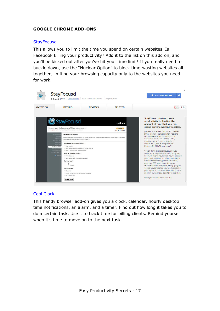#### **GOOGLE CHROME ADD-ONS**

#### **StayFocusd**

This allows you to limit the time you spend on certain websites. Is Facebook killing your productivity? Add it to the list on this add on, and you'll be kicked out after you've hit your time limit! If you really need to buckle down, use the "Nuclear Option" to block time-wasting websites all together, limiting your browsing capacity only to the websites you need for work.



#### Cool Clock

This handy browser add-on gives you a clock, calendar, hourly desktop time notifications, an alarm, and a timer. Find out how long it takes you to do a certain task. Use it to track time for billing clients. Remind yourself when it's time to move on to the next task.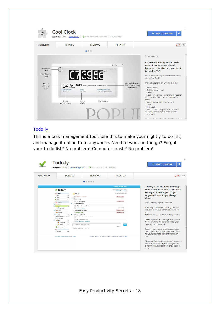| $^{12.}_{00}$                                                                  | <b>Cool Clock</b><br>★★★★★ (731) Productivity                     | of from derek1906.site50.net                                                                                                                                      | 128,303 users                                                                     | $\times$<br><b>ADD TO CHROME</b><br>÷<br><3                                                                                                                                                                                                                                                                                                                                                                                                                                                                                                                                                                                   |
|--------------------------------------------------------------------------------|-------------------------------------------------------------------|-------------------------------------------------------------------------------------------------------------------------------------------------------------------|-----------------------------------------------------------------------------------|-------------------------------------------------------------------------------------------------------------------------------------------------------------------------------------------------------------------------------------------------------------------------------------------------------------------------------------------------------------------------------------------------------------------------------------------------------------------------------------------------------------------------------------------------------------------------------------------------------------------------------|
| <b>OVERVIEW</b>                                                                | <b>DETAILS</b>                                                    | <b>REVIEWS</b>                                                                                                                                                    | <b>RELATED</b>                                                                    | $Q + 1$                                                                                                                                                                                                                                                                                                                                                                                                                                                                                                                                                                                                                       |
|                                                                                |                                                                   |                                                                                                                                                                   |                                                                                   |                                                                                                                                                                                                                                                                                                                                                                                                                                                                                                                                                                                                                               |
|                                                                                |                                                                   |                                                                                                                                                                   |                                                                                   | Runs Offline                                                                                                                                                                                                                                                                                                                                                                                                                                                                                                                                                                                                                  |
| Additional<br>tools<br>Card-flipping<br>clock<br>Date &<br>additional<br>info. | Sunday<br>Today's event:<br>No event<br>Record<br>to-dos (events) | 10713956<br>$14$ Apr, 2013 Have you eaten your dinner yet?<br>Current countdowns:<br>Alarms:<br>No alarm<br>No running countdown<br>Countdowns<br>Alarm<br>clocks | ☆ 2m<br>Version 3.0<br>Also include a nice<br>reminder according<br>to the time;) | An extension fully loaded with<br>tons of useful time-related<br>features But the best part is, it<br>is totally COOL.<br>This is not a simple plain old toolbar clock;<br>this is Cool Clock!<br>The first extension on Chrome that has:<br>- Voice Control<br>- Digital / Analog clock<br>- Calendar<br>- Hourly time announcement (with weather)<br>- Compatible with Chrome notification<br>center<br>- Alarm (supports multiple alarms)<br>- Timer<br>- Stopwatch<br>- Supports importing calendar data from<br>Google Calendar™ (public and private)<br>and more!<br>Main and also a mail followed to also Maratteau as |

#### Todo.ly

This is a task management tool. Use this to make your nightly to do list, and manage it online from anywhere. Need to work on the go? Forgot your to do list? No problem! Computer crash? No problem!

| <b>OVERVIEW</b> | <b>DETAILS</b>                                                                                                                                        |                                                                                                                                                                                                                    | <b>REVIEWS</b> | <b>RELATED</b>                                               |                                                  |
|-----------------|-------------------------------------------------------------------------------------------------------------------------------------------------------|--------------------------------------------------------------------------------------------------------------------------------------------------------------------------------------------------------------------|----------------|--------------------------------------------------------------|--------------------------------------------------|
|                 |                                                                                                                                                       |                                                                                                                                                                                                                    |                |                                                              |                                                  |
|                 |                                                                                                                                                       |                                                                                                                                                                                                                    |                | <b>Feedback   Settings   Lingout</b>                         | Todo.ly is an intuitive and easy                 |
|                 | $\sqrt$ Todo.ly                                                                                                                                       |                                                                                                                                                                                                                    |                | Monday, October 10, 2011   2:30 PM<br>Refresh &   First dide | to use online Todo list, and Task                |
|                 |                                                                                                                                                       |                                                                                                                                                                                                                    |                | Sort By- Order (Netex Hidden                                 | Manager. It helps you to get                     |
|                 | <b>Talents</b><br><b>Call Inter</b><br>$\geq$                                                                                                         | <b>Work</b>                                                                                                                                                                                                        |                |                                                              | organized, and to get things                     |
|                 | <b>They</b><br>D3                                                                                                                                     | <b>TT Call Peter for TPS reports</b>                                                                                                                                                                               |                | 177 days overdue                                             |                                                  |
|                 | pb Not<br>$\mathbf{1}$                                                                                                                                | <b>v</b> Downstaing                                                                                                                                                                                                |                |                                                              | done.                                            |
|                 | Projects                                                                                                                                              | Fili Fine Tam Strykowski                                                                                                                                                                                           |                | 79 days overdue                                              |                                                  |
|                 | <b>v diffice Equipments</b><br><b>B</b> BxType<br><b>ITT</b> Gut the coffine machine food<br>$12 -$<br>$= 1.0$ wark<br>Next Todo<br>Get a new Printer |                                                                                                                                                                                                                    |                |                                                              | New! Sharing projects and Notes!                 |
|                 |                                                                                                                                                       |                                                                                                                                                                                                                    |                |                                                              |                                                  |
|                 |                                                                                                                                                       |                                                                                                                                                                                                                    |                | 24 Dec 2016                                                  | * PC Mag - "Todo.ly is probably the most         |
|                 | ▶ 三出 Totaly                                                                                                                                           | S62 days overdue.<br>TT Intech Quarter Year meeting<br>568 days overdue<br><b>ET Lunch with Peggy</b><br>T     Check every TPS report<br>Til Tak to the Consultants about the results<br>Send reminder to everyone |                |                                                              | robust task-management Web service I've          |
|                 | <b>G</b> Shoping                                                                                                                                      |                                                                                                                                                                                                                    |                |                                                              | seen."                                           |
|                 | <b>FILE</b><br>5                                                                                                                                      |                                                                                                                                                                                                                    |                |                                                              | * Killerstartups - "Todo.ly is really intuitive" |
|                 | D Movies to watch (2) 2                                                                                                                               |                                                                                                                                                                                                                    |                |                                                              |                                                  |
|                 | <b>Il [iiii]</b> Emailrepies                                                                                                                          |                                                                                                                                                                                                                    |                |                                                              | Create todo lists and manage them online         |
|                 | $\bullet$ $\circ$ Gare<br>$\mathbb{R}$<br>Get my stapler back from Milton<br>$\rightarrow$<br><b>A</b> Things to buy                                  |                                                                                                                                                                                                                    |                |                                                              | from anywhere. We designed Todo.ly for           |
|                 | $\mathbf{1}$<br><b>N</b> Rocords                                                                                                                      |                                                                                                                                                                                                                    |                | ×                                                            | intensive everyday work.                         |
|                 |                                                                                                                                                       | Add new Todo, type here.                                                                                                                                                                                           |                | imone.                                                       |                                                  |
|                 | C Add New Project                                                                                                                                     | 17 Done Items   See all   Delete all                                                                                                                                                                               |                |                                                              |                                                  |
|                 | $\sim$ $\alpha$                                                                                                                                       |                                                                                                                                                                                                                    |                |                                                              | Todo.ly helps you to organize your tasks         |
|                 | Fill Recycle Bin<br>244                                                                                                                               |                                                                                                                                                                                                                    |                |                                                              | into projects and sub projects. Select icons     |
|                 |                                                                                                                                                       |                                                                                                                                                                                                                    |                |                                                              | for your projects to highlight them even         |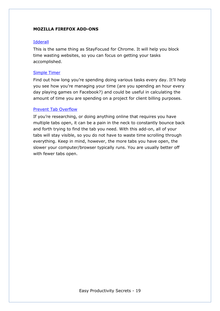#### **MOZILLA FIREFOX ADD-ONS**

#### Idderall

This is the same thing as StayFocusd for Chrome. It will help you block time wasting websites, so you can focus on getting your tasks accomplished.

#### Simple Timer

Find out how long you're spending doing various tasks every day. It'll help you see how you're managing your time (are you spending an hour every day playing games on Facebook?) and could be useful in calculating the amount of time you are spending on a project for client billing purposes.

#### Prevent Tab Overflow

If you're researching, or doing anything online that requires you have multiple tabs open, it can be a pain in the neck to constantly bounce back and forth trying to find the tab you need. With this add-on, all of your tabs will stay visible, so you do not have to waste time scrolling through everything. Keep in mind, however, the more tabs you have open, the slower your computer/browser typically runs. You are usually better off with fewer tabs open.